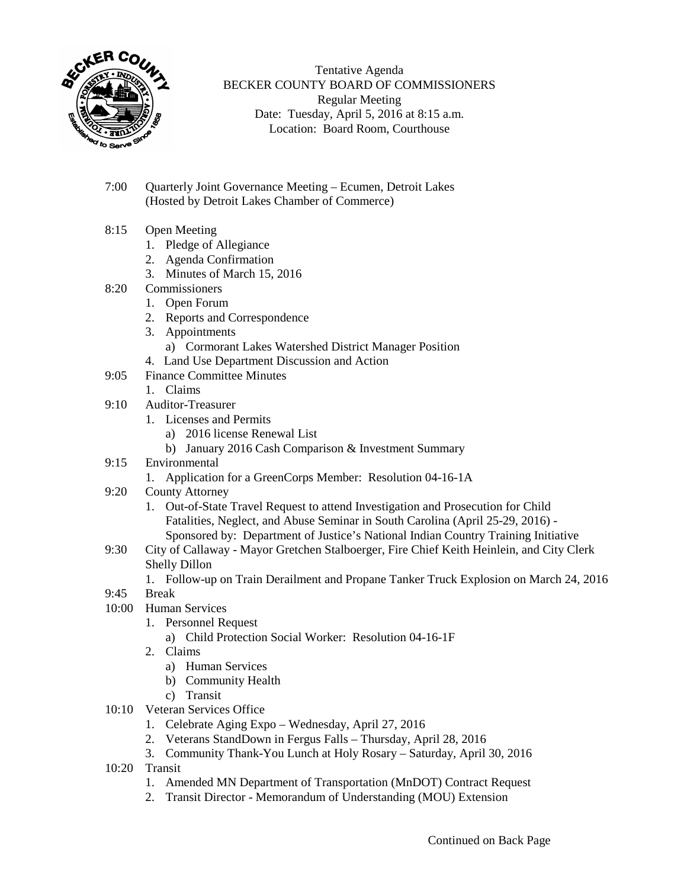

Tentative Agenda BECKER COUNTY BOARD OF COMMISSIONERS Regular Meeting Date: Tuesday, April 5, 2016 at 8:15 a.m. Location: Board Room, Courthouse

- 7:00 Quarterly Joint Governance Meeting Ecumen, Detroit Lakes (Hosted by Detroit Lakes Chamber of Commerce)
- 8:15 Open Meeting
	- 1. Pledge of Allegiance
	- 2. Agenda Confirmation
	- 3. Minutes of March 15, 2016
- 8:20 Commissioners
	- 1. Open Forum
	- 2. Reports and Correspondence
	- 3. Appointments a) Cormorant Lakes Watershed District Manager Position
	- 4. Land Use Department Discussion and Action
- 9:05 Finance Committee Minutes
	- 1. Claims
- 9:10 Auditor-Treasurer
	- 1. Licenses and Permits
		- a) 2016 license Renewal List
		- b) January 2016 Cash Comparison & Investment Summary
- 9:15 Environmental
	- 1. Application for a GreenCorps Member: Resolution 04-16-1A
- 9:20 County Attorney
	- 1. Out-of-State Travel Request to attend Investigation and Prosecution for Child Fatalities, Neglect, and Abuse Seminar in South Carolina (April 25-29, 2016) - Sponsored by: Department of Justice's National Indian Country Training Initiative
- 9:30 City of Callaway Mayor Gretchen Stalboerger, Fire Chief Keith Heinlein, and City Clerk Shelly Dillon
	- 1. Follow-up on Train Derailment and Propane Tanker Truck Explosion on March 24, 2016
- 9:45 Break
- 10:00 Human Services
	- 1. Personnel Request
		- a) Child Protection Social Worker: Resolution 04-16-1F
	- 2. Claims
		- a) Human Services
		- b) Community Health
		- c) Transit
- 10:10 Veteran Services Office
	- 1. Celebrate Aging Expo Wednesday, April 27, 2016
	- 2. Veterans StandDown in Fergus Falls Thursday, April 28, 2016
	- 3. Community Thank-You Lunch at Holy Rosary Saturday, April 30, 2016
- 10:20 Transit
	- 1. Amended MN Department of Transportation (MnDOT) Contract Request
	- 2. Transit Director Memorandum of Understanding (MOU) Extension